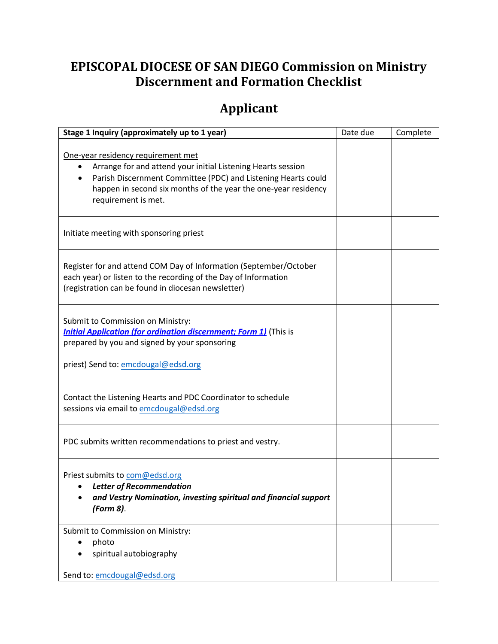## **EPISCOPAL DIOCESE OF SAN DIEGO Commission on Ministry Discernment and Formation Checklist**

## **Applicant**

| Stage 1 Inquiry (approximately up to 1 year)                                                                                                                                                                                                                      | Date due | Complete |
|-------------------------------------------------------------------------------------------------------------------------------------------------------------------------------------------------------------------------------------------------------------------|----------|----------|
| One-year residency requirement met<br>Arrange for and attend your initial Listening Hearts session<br>٠<br>Parish Discernment Committee (PDC) and Listening Hearts could<br>happen in second six months of the year the one-year residency<br>requirement is met. |          |          |
| Initiate meeting with sponsoring priest                                                                                                                                                                                                                           |          |          |
| Register for and attend COM Day of Information (September/October<br>each year) or listen to the recording of the Day of Information<br>(registration can be found in diocesan newsletter)                                                                        |          |          |
| Submit to Commission on Ministry:<br><b>Initial Application (for ordination discernment; Form 1)</b> (This is<br>prepared by you and signed by your sponsoring<br>priest) Send to: emcdougal@edsd.org                                                             |          |          |
| Contact the Listening Hearts and PDC Coordinator to schedule<br>sessions via email to emcdougal@edsd.org                                                                                                                                                          |          |          |
| PDC submits written recommendations to priest and vestry.                                                                                                                                                                                                         |          |          |
| Priest submits to com@edsd.org<br><b>Letter of Recommendation</b><br>and Vestry Nomination, investing spiritual and financial support<br>(Form 8).                                                                                                                |          |          |
| Submit to Commission on Ministry:<br>photo<br>spiritual autobiography<br>Send to: emcdougal@edsd.org                                                                                                                                                              |          |          |
|                                                                                                                                                                                                                                                                   |          |          |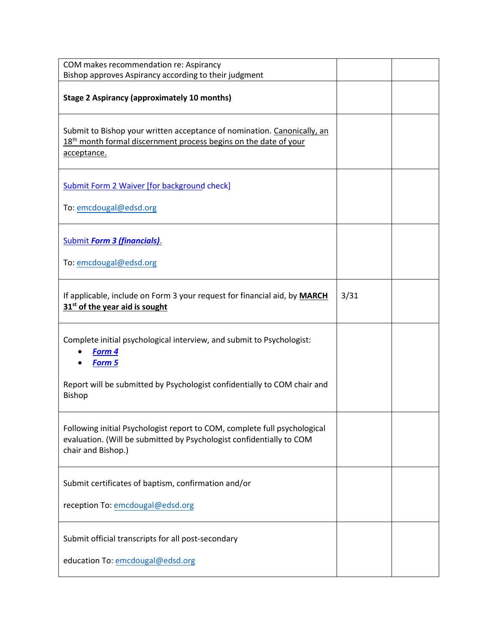| COM makes recommendation re: Aspirancy<br>Bishop approves Aspirancy according to their judgment                                                                         |      |  |
|-------------------------------------------------------------------------------------------------------------------------------------------------------------------------|------|--|
| <b>Stage 2 Aspirancy (approximately 10 months)</b>                                                                                                                      |      |  |
| Submit to Bishop your written acceptance of nomination. Canonically, an<br>18 <sup>th</sup> month formal discernment process begins on the date of your<br>acceptance.  |      |  |
| <b>Submit Form 2 Waiver [for background check]</b>                                                                                                                      |      |  |
| To: emcdougal@edsd.org                                                                                                                                                  |      |  |
| <b>Submit Form 3 (financials).</b>                                                                                                                                      |      |  |
| To: emcdougal@edsd.org                                                                                                                                                  |      |  |
| If applicable, include on Form 3 your request for financial aid, by MARCH<br>31 <sup>st</sup> of the year aid is sought                                                 | 3/31 |  |
| Complete initial psychological interview, and submit to Psychologist:<br>Form 4<br>Form 5                                                                               |      |  |
| Report will be submitted by Psychologist confidentially to COM chair and<br>Bishop                                                                                      |      |  |
| Following initial Psychologist report to COM, complete full psychological<br>evaluation. (Will be submitted by Psychologist confidentially to COM<br>chair and Bishop.) |      |  |
| Submit certificates of baptism, confirmation and/or                                                                                                                     |      |  |
| reception To: emcdougal@edsd.org                                                                                                                                        |      |  |
| Submit official transcripts for all post-secondary                                                                                                                      |      |  |
| education To: emcdougal@edsd.org                                                                                                                                        |      |  |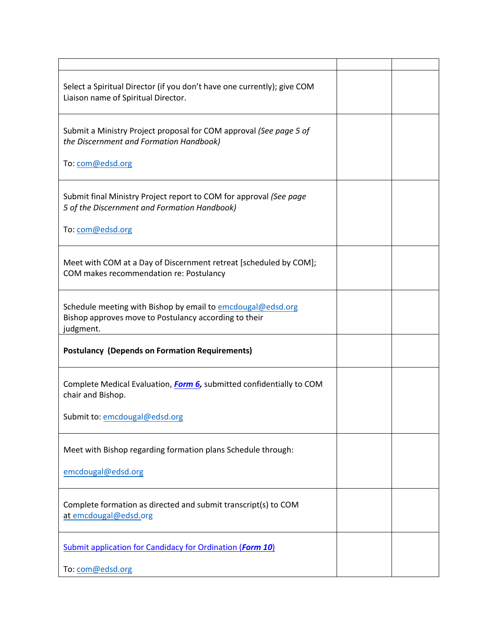| Select a Spiritual Director (if you don't have one currently); give COM<br>Liaison name of Spiritual Director.                    |  |
|-----------------------------------------------------------------------------------------------------------------------------------|--|
| Submit a Ministry Project proposal for COM approval (See page 5 of<br>the Discernment and Formation Handbook)                     |  |
| To: com@edsd.org                                                                                                                  |  |
| Submit final Ministry Project report to COM for approval (See page<br>5 of the Discernment and Formation Handbook)                |  |
| To: com@edsd.org                                                                                                                  |  |
| Meet with COM at a Day of Discernment retreat [scheduled by COM];<br>COM makes recommendation re: Postulancy                      |  |
| Schedule meeting with Bishop by email to emcdougal@edsd.org<br>Bishop approves move to Postulancy according to their<br>judgment. |  |
| <b>Postulancy (Depends on Formation Requirements)</b>                                                                             |  |
| Complete Medical Evaluation, Form 6, submitted confidentially to COM<br>chair and Bishop.                                         |  |
| Submit to: emcdougal@edsd.org                                                                                                     |  |
| Meet with Bishop regarding formation plans Schedule through:                                                                      |  |
| emcdougal@edsd.org                                                                                                                |  |
| Complete formation as directed and submit transcript(s) to COM<br>at emcdougal@edsd.org                                           |  |
| <b>Submit application for Candidacy for Ordination (Form 10)</b>                                                                  |  |
| To: com@edsd.org                                                                                                                  |  |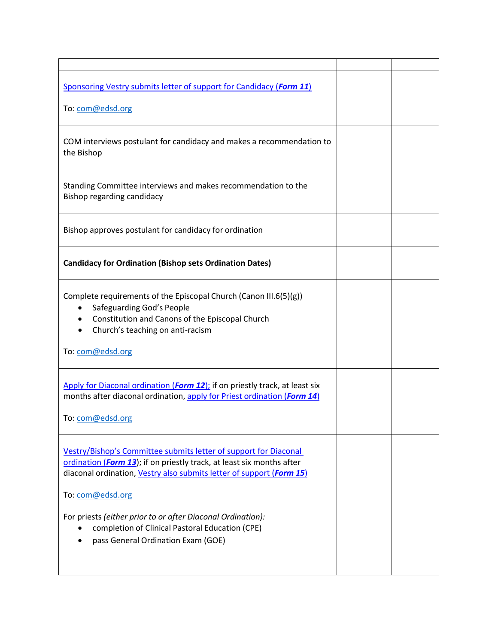| Sponsoring Vestry submits letter of support for Candidacy (Form 11)                                                                                                                                                                   |  |
|---------------------------------------------------------------------------------------------------------------------------------------------------------------------------------------------------------------------------------------|--|
| To: com@edsd.org                                                                                                                                                                                                                      |  |
| COM interviews postulant for candidacy and makes a recommendation to<br>the Bishop                                                                                                                                                    |  |
| Standing Committee interviews and makes recommendation to the<br>Bishop regarding candidacy                                                                                                                                           |  |
| Bishop approves postulant for candidacy for ordination                                                                                                                                                                                |  |
| <b>Candidacy for Ordination (Bishop sets Ordination Dates)</b>                                                                                                                                                                        |  |
| Complete requirements of the Episcopal Church (Canon III.6(5)(g))<br>Safeguarding God's People<br>Constitution and Canons of the Episcopal Church<br>Church's teaching on anti-racism<br>$\bullet$                                    |  |
| To: com@edsd.org                                                                                                                                                                                                                      |  |
| Apply for Diaconal ordination (Form 12); if on priestly track, at least six<br>months after diaconal ordination, apply for Priest ordination (Form 14)<br>To: com@edsd.org                                                            |  |
| Vestry/Bishop's Committee submits letter of support for Diaconal<br>ordination (Form 13); if on priestly track, at least six months after<br>diaconal ordination, Vestry also submits letter of support (Form 15)<br>To: com@edsd.org |  |
| For priests (either prior to or after Diaconal Ordination):<br>completion of Clinical Pastoral Education (CPE)<br>pass General Ordination Exam (GOE)                                                                                  |  |